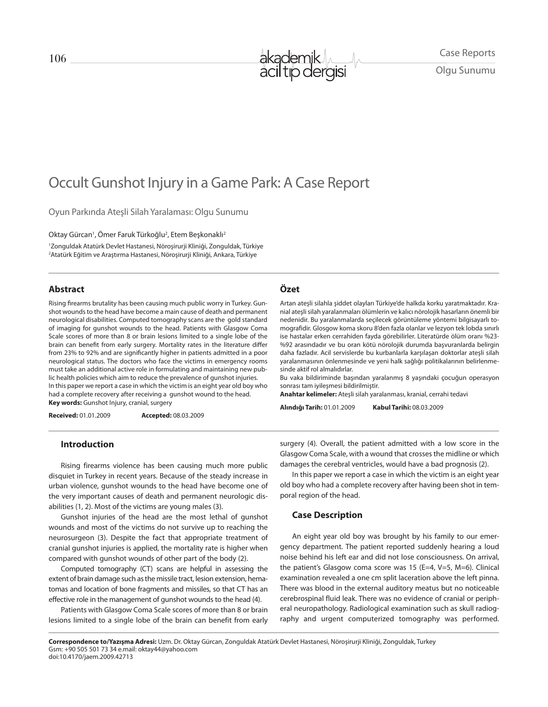

Olgu Sunumu

# Occult Gunshot Injury in a Game Park: A Case Report

Oyun Parkında Ateşli Silah Yaralaması: Olgu Sunumu

Oktay Gürcan<sup>ı</sup>, Omer Faruk Türkoğlu<sup>2</sup>, Etem Beşkonaklı<sup>2</sup> 1 Zonguldak Atatürk Devlet Hastanesi, Nöroşirurji Kliniği, Zonguldak, Türkiye 2 Atatürk Eğitim ve Araştırma Hastanesi, Nöroşirurji Kliniği, Ankara, Türkiye

#### **Abstract**

Rising firearms brutality has been causing much public worry in Turkey. Gunshot wounds to the head have become a main cause of death and permanent neurological disabilities. Computed tomography scans are the gold standard of imaging for gunshot wounds to the head. Patients with Glasgow Coma Scale scores of more than 8 or brain lesions limited to a single lobe of the brain can benefit from early surgery. Mortality rates in the literature differ from 23% to 92% and are significantly higher in patients admitted in a poor neurological status. The doctors who face the victims in emergency rooms must take an additional active role in formulating and maintaining new public health policies which aim to reduce the prevalence of gunshot injuries. In this paper we report a case in which the victim is an eight year old boy who had a complete recovery after receiving a gunshot wound to the head. **Key words:** Gunshot Injury, cranial, surgery

**Received:** 01.01.2009 **Accepted:** 08.03.2009

#### **Özet**

Artan ateşli silahla şiddet olayları Türkiye'de halkda korku yaratmaktadır. Kranial ateşli silah yaralanmaları ölümlerin ve kalıcı nörolojik hasarların önemli bir nedenidir. Bu yaralanmalarda seçilecek görüntüleme yöntemi bilgisayarlı tomografidir. Glosgow koma skoru 8'den fazla olanlar ve lezyon tek lobda sınırlı ise hastalar erken cerrahiden fayda görebilirler. Literatürde ölüm oranı %23- %92 arasındadır ve bu oran kötü nörolojik durumda başvuranlarda belirgin daha fazladır. Acil servislerde bu kurbanlarla karşılaşan doktorlar ateşli silah yaralanmasının önlenmesinde ve yeni halk sağlığı politikalarının belirlenmesinde aktif rol almalıdırlar.

Bu vaka bildiriminde başından yaralanmış 8 yaşındaki çocuğun operasyon sonrası tam iyileşmesi bildirilmiştir.

**Anahtar kelimeler:** Ateşli silah yaralanması, kranial, cerrahi tedavi

**Alındığı Tarih:** 01.01.2009 **Kabul Tarihi:** 08.03.2009

#### **Introduction**

Rising firearms violence has been causing much more public disquiet in Turkey in recent years. Because of the steady increase in urban violence, gunshot wounds to the head have become one of the very important causes of death and permanent neurologic disabilities (1, 2). Most of the victims are young males (3).

Gunshot injuries of the head are the most lethal of gunshot wounds and most of the victims do not survive up to reaching the neurosurgeon (3). Despite the fact that appropriate treatment of cranial gunshot injuries is applied, the mortality rate is higher when compared with gunshot wounds of other part of the body (2).

Computed tomography (CT) scans are helpful in assessing the extent of brain damage such as the missile tract, lesion extension, hematomas and location of bone fragments and missiles, so that CT has an effective role in the management of gunshot wounds to the head (4).

Patients with Glasgow Coma Scale scores of more than 8 or brain lesions limited to a single lobe of the brain can benefit from early surgery (4). Overall, the patient admitted with a low score in the Glasgow Coma Scale, with a wound that crosses the midline or which damages the cerebral ventricles, would have a bad prognosis (2).

In this paper we report a case in which the victim is an eight year old boy who had a complete recovery after having been shot in temporal region of the head.

### **Case Description**

An eight year old boy was brought by his family to our emergency department. The patient reported suddenly hearing a loud noise behind his left ear and did not lose consciousness. On arrival, the patient's Glasgow coma score was 15 (E=4, V=5, M=6). Clinical examination revealed a one cm split laceration above the left pinna. There was blood in the external auditory meatus but no noticeable cerebrospinal fluid leak. There was no evidence of cranial or peripheral neuropathology. Radiological examination such as skull radiography and urgent computerized tomography was performed.

**Correspondence to/Yazışma Adresi:** Uzm. Dr. Oktay Gürcan, Zonguldak Atatürk Devlet Hastanesi, Nöroşirurji Kliniği, Zonguldak, Turkey Gsm: +90 505 501 73 34 e.mail: oktay44@yahoo.com doi:10.4170/jaem.2009.42713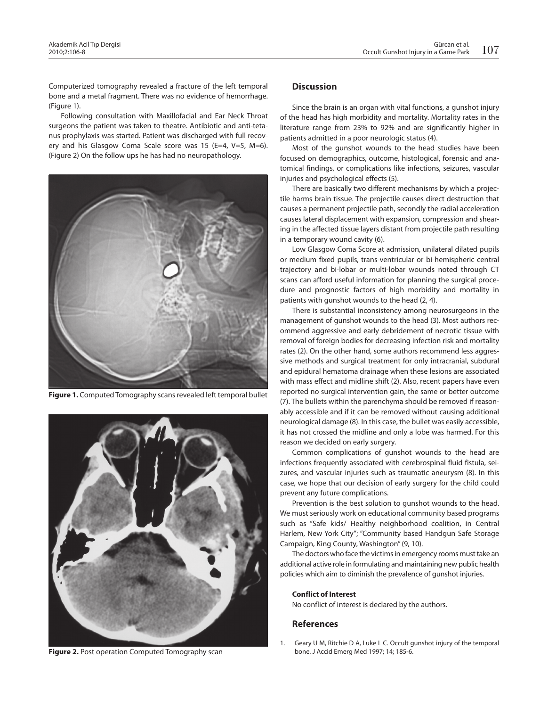Computerized tomography revealed a fracture of the left temporal bone and a metal fragment. There was no evidence of hemorrhage. (Figure 1).

Following consultation with Maxillofacial and Ear Neck Throat surgeons the patient was taken to theatre. Antibiotic and anti-tetanus prophylaxis was started. Patient was discharged with full recovery and his Glasgow Coma Scale score was 15 (E=4, V=5, M=6). (Figure 2) On the follow ups he has had no neuropathology.



**Figure 1.** Computed Tomography scans revealed left temporal bullet



**Figure 2.** Post operation Computed Tomography scan

## **Discussion**

Since the brain is an organ with vital functions, a gunshot injury of the head has high morbidity and mortality. Mortality rates in the literature range from 23% to 92% and are significantly higher in patients admitted in a poor neurologic status (4).

Most of the gunshot wounds to the head studies have been focused on demographics, outcome, histological, forensic and anatomical findings, or complications like infections, seizures, vascular injuries and psychological effects (5).

There are basically two different mechanisms by which a projectile harms brain tissue. The projectile causes direct destruction that causes a permanent projectile path, secondly the radial acceleration causes lateral displacement with expansion, compression and shearing in the affected tissue layers distant from projectile path resulting in a temporary wound cavity (6).

Low Glasgow Coma Score at admission, unilateral dilated pupils or medium fixed pupils, trans-ventricular or bi-hemispheric central trajectory and bi-lobar or multi-lobar wounds noted through CT scans can afford useful information for planning the surgical procedure and prognostic factors of high morbidity and mortality in patients with gunshot wounds to the head (2, 4).

There is substantial inconsistency among neurosurgeons in the management of gunshot wounds to the head (3). Most authors recommend aggressive and early debridement of necrotic tissue with removal of foreign bodies for decreasing infection risk and mortality rates (2). On the other hand, some authors recommend less aggressive methods and surgical treatment for only intracranial, subdural and epidural hematoma drainage when these lesions are associated with mass effect and midline shift (2). Also, recent papers have even reported no surgical intervention gain, the same or better outcome (7). The bullets within the parenchyma should be removed if reasonably accessible and if it can be removed without causing additional neurological damage (8). In this case, the bullet was easily accessible, it has not crossed the midline and only a lobe was harmed. For this reason we decided on early surgery.

Common complications of gunshot wounds to the head are infections frequently associated with cerebrospinal fluid fistula, seizures, and vascular injuries such as traumatic aneurysm (8). In this case, we hope that our decision of early surgery for the child could prevent any future complications.

Prevention is the best solution to gunshot wounds to the head. We must seriously work on educational community based programs such as "Safe kids/ Healthy neighborhood coalition, in Central Harlem, New York City"; "Community based Handgun Safe Storage Campaign, King County, Washington" (9, 10).

The doctors who face the victims in emergency rooms must take an additional active role in formulating and maintaining new public health policies which aim to diminish the prevalence of gunshot injuries.

#### **Conflict of Interest**

No conflict of interest is declared by the authors.

#### **References**

1. Geary U M, Ritchie D A, Luke L C. Occult gunshot injury of the temporal bone. J Accid Emerg Med 1997; 14; 185-6.